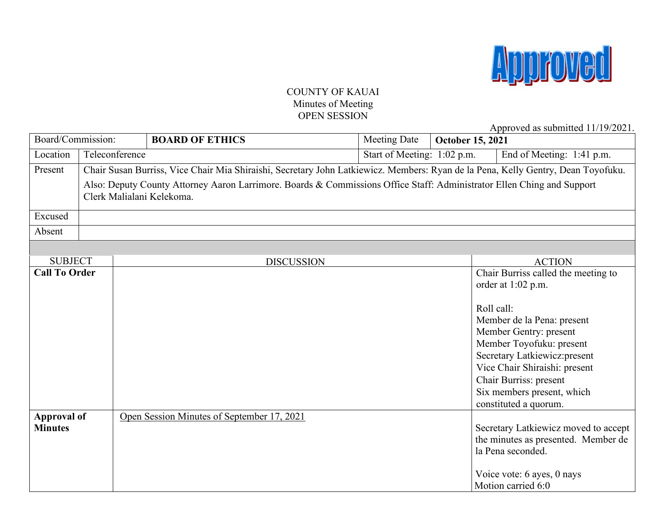

### COUNTY OF KAUAI Minutes of Meeting OPEN SESSION

Approved as submitted 11/19/2021.

| Board/Commission:                    |  |                | <b>BOARD OF ETHICS</b>                                                                                                                              | <b>Meeting Date</b>         | <b>October 15, 2021</b>                                                                                                                                                                                                                                                                                        |  |
|--------------------------------------|--|----------------|-----------------------------------------------------------------------------------------------------------------------------------------------------|-----------------------------|----------------------------------------------------------------------------------------------------------------------------------------------------------------------------------------------------------------------------------------------------------------------------------------------------------------|--|
| Location                             |  | Teleconference |                                                                                                                                                     | Start of Meeting: 1:02 p.m. | End of Meeting: 1:41 p.m.                                                                                                                                                                                                                                                                                      |  |
| Present                              |  |                | Chair Susan Burriss, Vice Chair Mia Shiraishi, Secretary John Latkiewicz. Members: Ryan de la Pena, Kelly Gentry, Dean Toyofuku.                    |                             |                                                                                                                                                                                                                                                                                                                |  |
|                                      |  |                | Also: Deputy County Attorney Aaron Larrimore. Boards & Commissions Office Staff: Administrator Ellen Ching and Support<br>Clerk Malialani Kelekoma. |                             |                                                                                                                                                                                                                                                                                                                |  |
| Excused                              |  |                |                                                                                                                                                     |                             |                                                                                                                                                                                                                                                                                                                |  |
| Absent                               |  |                |                                                                                                                                                     |                             |                                                                                                                                                                                                                                                                                                                |  |
|                                      |  |                |                                                                                                                                                     |                             |                                                                                                                                                                                                                                                                                                                |  |
| <b>SUBJECT</b>                       |  |                | <b>DISCUSSION</b>                                                                                                                                   |                             | <b>ACTION</b>                                                                                                                                                                                                                                                                                                  |  |
| <b>Call To Order</b>                 |  |                |                                                                                                                                                     |                             | Chair Burriss called the meeting to<br>order at 1:02 p.m.<br>Roll call:<br>Member de la Pena: present<br>Member Gentry: present<br>Member Toyofuku: present<br>Secretary Latkiewicz: present<br>Vice Chair Shiraishi: present<br>Chair Burriss: present<br>Six members present, which<br>constituted a quorum. |  |
| <b>Approval of</b><br><b>Minutes</b> |  |                | Open Session Minutes of September 17, 2021                                                                                                          |                             | Secretary Latkiewicz moved to accept<br>the minutes as presented. Member de<br>la Pena seconded.<br>Voice vote: 6 ayes, 0 nays<br>Motion carried 6:0                                                                                                                                                           |  |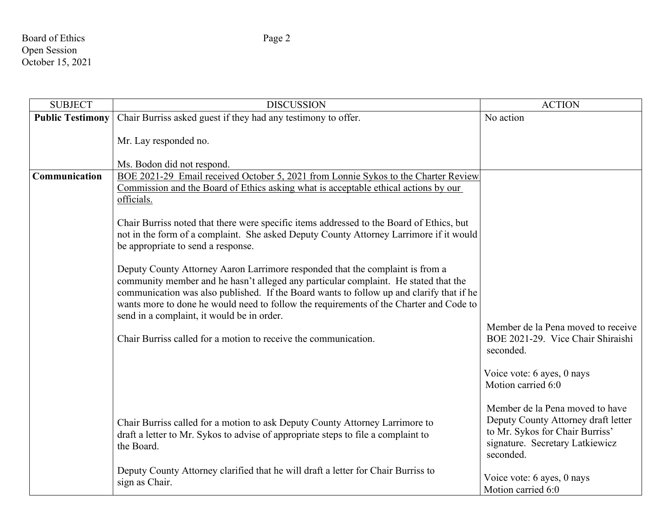# Board of Ethics Page 2 Open Session October 15, 2021

| <b>SUBJECT</b>          | <b>DISCUSSION</b>                                                                                                                                                                                                                                                                                                                                                                                                                                                                                                                                                                                                                                                                                                                                                                                                                                                                                  | <b>ACTION</b>                                                                                                                                                                                                                       |
|-------------------------|----------------------------------------------------------------------------------------------------------------------------------------------------------------------------------------------------------------------------------------------------------------------------------------------------------------------------------------------------------------------------------------------------------------------------------------------------------------------------------------------------------------------------------------------------------------------------------------------------------------------------------------------------------------------------------------------------------------------------------------------------------------------------------------------------------------------------------------------------------------------------------------------------|-------------------------------------------------------------------------------------------------------------------------------------------------------------------------------------------------------------------------------------|
| <b>Public Testimony</b> | Chair Burriss asked guest if they had any testimony to offer.                                                                                                                                                                                                                                                                                                                                                                                                                                                                                                                                                                                                                                                                                                                                                                                                                                      | No action                                                                                                                                                                                                                           |
|                         | Mr. Lay responded no.<br>Ms. Bodon did not respond.                                                                                                                                                                                                                                                                                                                                                                                                                                                                                                                                                                                                                                                                                                                                                                                                                                                |                                                                                                                                                                                                                                     |
| Communication           | BOE 2021-29 Email received October 5, 2021 from Lonnie Sykos to the Charter Review<br>Commission and the Board of Ethics asking what is acceptable ethical actions by our<br>officials.<br>Chair Burriss noted that there were specific items addressed to the Board of Ethics, but<br>not in the form of a complaint. She asked Deputy County Attorney Larrimore if it would<br>be appropriate to send a response.<br>Deputy County Attorney Aaron Larrimore responded that the complaint is from a<br>community member and he hasn't alleged any particular complaint. He stated that the<br>communication was also published. If the Board wants to follow up and clarify that if he<br>wants more to done he would need to follow the requirements of the Charter and Code to<br>send in a complaint, it would be in order.<br>Chair Burriss called for a motion to receive the communication. | Member de la Pena moved to receive<br>BOE 2021-29. Vice Chair Shiraishi<br>seconded.<br>Voice vote: 6 ayes, 0 nays                                                                                                                  |
|                         | Chair Burriss called for a motion to ask Deputy County Attorney Larrimore to<br>draft a letter to Mr. Sykos to advise of appropriate steps to file a complaint to<br>the Board.<br>Deputy County Attorney clarified that he will draft a letter for Chair Burriss to<br>sign as Chair.                                                                                                                                                                                                                                                                                                                                                                                                                                                                                                                                                                                                             | Motion carried 6:0<br>Member de la Pena moved to have<br>Deputy County Attorney draft letter<br>to Mr. Sykos for Chair Burriss'<br>signature. Secretary Latkiewicz<br>seconded.<br>Voice vote: 6 ayes, 0 nays<br>Motion carried 6:0 |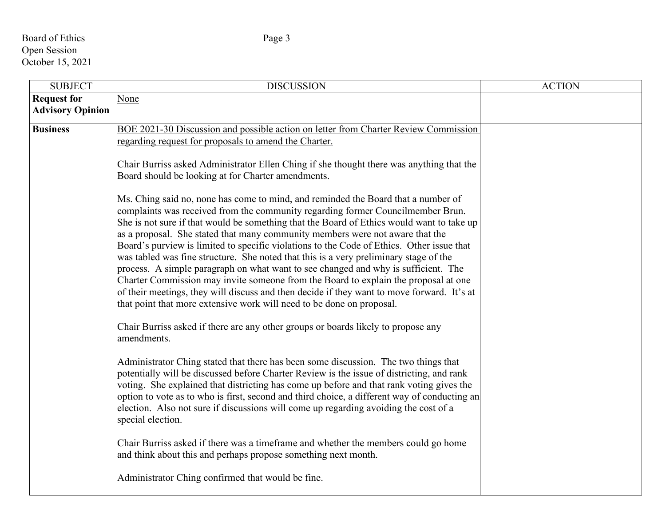# Board of Ethics Page 3 Open Session October 15, 2021

| <b>SUBJECT</b>                                | <b>DISCUSSION</b>                                                                                                                                                                                                                                                                                                                                                                                                                                                                                                                                                                                                                                                                                                                                                                                                                                                                                                                                                                                                                                                                                                                                                                                                                                                                                                                                                                         | <b>ACTION</b> |
|-----------------------------------------------|-------------------------------------------------------------------------------------------------------------------------------------------------------------------------------------------------------------------------------------------------------------------------------------------------------------------------------------------------------------------------------------------------------------------------------------------------------------------------------------------------------------------------------------------------------------------------------------------------------------------------------------------------------------------------------------------------------------------------------------------------------------------------------------------------------------------------------------------------------------------------------------------------------------------------------------------------------------------------------------------------------------------------------------------------------------------------------------------------------------------------------------------------------------------------------------------------------------------------------------------------------------------------------------------------------------------------------------------------------------------------------------------|---------------|
| <b>Request for</b><br><b>Advisory Opinion</b> | None                                                                                                                                                                                                                                                                                                                                                                                                                                                                                                                                                                                                                                                                                                                                                                                                                                                                                                                                                                                                                                                                                                                                                                                                                                                                                                                                                                                      |               |
| <b>Business</b>                               | BOE 2021-30 Discussion and possible action on letter from Charter Review Commission<br>regarding request for proposals to amend the Charter.<br>Chair Burriss asked Administrator Ellen Ching if she thought there was anything that the<br>Board should be looking at for Charter amendments.<br>Ms. Ching said no, none has come to mind, and reminded the Board that a number of<br>complaints was received from the community regarding former Councilmember Brun.<br>She is not sure if that would be something that the Board of Ethics would want to take up<br>as a proposal. She stated that many community members were not aware that the<br>Board's purview is limited to specific violations to the Code of Ethics. Other issue that<br>was tabled was fine structure. She noted that this is a very preliminary stage of the<br>process. A simple paragraph on what want to see changed and why is sufficient. The<br>Charter Commission may invite someone from the Board to explain the proposal at one<br>of their meetings, they will discuss and then decide if they want to move forward. It's at<br>that point that more extensive work will need to be done on proposal.<br>Chair Burriss asked if there are any other groups or boards likely to propose any<br>amendments.<br>Administrator Ching stated that there has been some discussion. The two things that |               |
|                                               | potentially will be discussed before Charter Review is the issue of districting, and rank<br>voting. She explained that districting has come up before and that rank voting gives the<br>option to vote as to who is first, second and third choice, a different way of conducting an<br>election. Also not sure if discussions will come up regarding avoiding the cost of a<br>special election.<br>Chair Burriss asked if there was a timeframe and whether the members could go home<br>and think about this and perhaps propose something next month.                                                                                                                                                                                                                                                                                                                                                                                                                                                                                                                                                                                                                                                                                                                                                                                                                                |               |
|                                               | Administrator Ching confirmed that would be fine.                                                                                                                                                                                                                                                                                                                                                                                                                                                                                                                                                                                                                                                                                                                                                                                                                                                                                                                                                                                                                                                                                                                                                                                                                                                                                                                                         |               |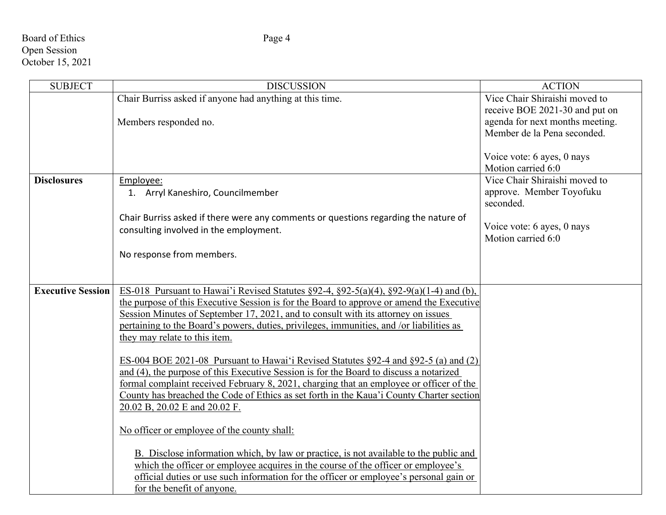## Board of Ethics Page 4 Open Session October 15, 2021

| <b>SUBJECT</b>           | <b>DISCUSSION</b>                                                                                                                                                                                                                                                                                                                                                                                                  | <b>ACTION</b>                                                                                                                     |
|--------------------------|--------------------------------------------------------------------------------------------------------------------------------------------------------------------------------------------------------------------------------------------------------------------------------------------------------------------------------------------------------------------------------------------------------------------|-----------------------------------------------------------------------------------------------------------------------------------|
|                          | Chair Burriss asked if anyone had anything at this time.<br>Members responded no.                                                                                                                                                                                                                                                                                                                                  | Vice Chair Shiraishi moved to<br>receive BOE 2021-30 and put on<br>agenda for next months meeting.<br>Member de la Pena seconded. |
|                          |                                                                                                                                                                                                                                                                                                                                                                                                                    | Voice vote: 6 ayes, 0 nays<br>Motion carried 6:0                                                                                  |
| <b>Disclosures</b>       | Employee:<br>1. Arryl Kaneshiro, Councilmember                                                                                                                                                                                                                                                                                                                                                                     | Vice Chair Shiraishi moved to<br>approve. Member Toyofuku<br>seconded.                                                            |
|                          | Chair Burriss asked if there were any comments or questions regarding the nature of<br>consulting involved in the employment.                                                                                                                                                                                                                                                                                      | Voice vote: 6 ayes, 0 nays<br>Motion carried 6:0                                                                                  |
|                          | No response from members.                                                                                                                                                                                                                                                                                                                                                                                          |                                                                                                                                   |
| <b>Executive Session</b> | ES-018 Pursuant to Hawai'i Revised Statutes $\S 92-4$ , $\S 92-5(a)(4)$ , $\S 92-9(a)(1-4)$ and (b),<br>the purpose of this Executive Session is for the Board to approve or amend the Executive<br>Session Minutes of September 17, 2021, and to consult with its attorney on issues<br>pertaining to the Board's powers, duties, privileges, immunities, and /or liabilities as<br>they may relate to this item. |                                                                                                                                   |
|                          | ES-004 BOE 2021-08 Pursuant to Hawai'i Revised Statutes §92-4 and §92-5 (a) and (2)<br>and (4), the purpose of this Executive Session is for the Board to discuss a notarized<br>formal complaint received February 8, 2021, charging that an employee or officer of the<br>County has breached the Code of Ethics as set forth in the Kaua'i County Charter section<br>20.02 B, 20.02 E and 20.02 F.              |                                                                                                                                   |
|                          | No officer or employee of the county shall:<br>B. Disclose information which, by law or practice, is not available to the public and                                                                                                                                                                                                                                                                               |                                                                                                                                   |
|                          | which the officer or employee acquires in the course of the officer or employee's<br>official duties or use such information for the officer or employee's personal gain or<br>for the benefit of anyone.                                                                                                                                                                                                          |                                                                                                                                   |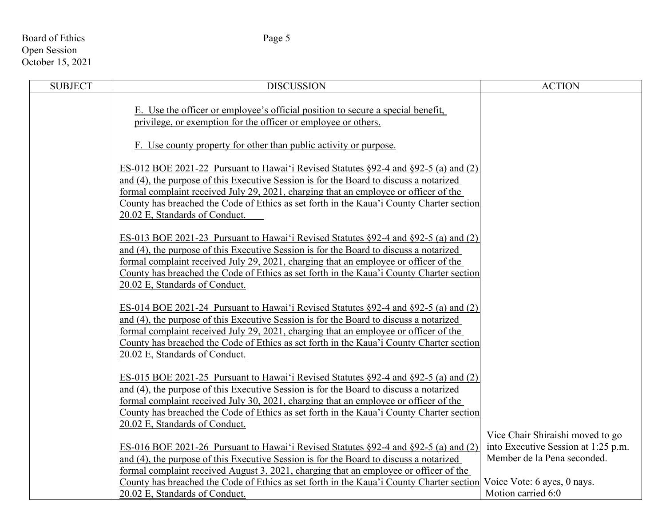# Board of Ethics Page 5 Open Session October 15, 2021

| <b>SUBJECT</b> | <b>DISCUSSION</b>                                                                                                                                      | <b>ACTION</b>                       |
|----------------|--------------------------------------------------------------------------------------------------------------------------------------------------------|-------------------------------------|
|                | E. Use the officer or employee's official position to secure a special benefit,                                                                        |                                     |
|                | privilege, or exemption for the officer or employee or others.                                                                                         |                                     |
|                | F. Use county property for other than public activity or purpose.                                                                                      |                                     |
|                | ES-012 BOE 2021-22 Pursuant to Hawai'i Revised Statutes $\S 92-4$ and $\S 92-5$ (a) and (2)                                                            |                                     |
|                | and (4), the purpose of this Executive Session is for the Board to discuss a notarized                                                                 |                                     |
|                | formal complaint received July 29, 2021, charging that an employee or officer of the                                                                   |                                     |
|                | County has breached the Code of Ethics as set forth in the Kaua'i County Charter section                                                               |                                     |
|                | 20.02 E, Standards of Conduct.                                                                                                                         |                                     |
|                | ES-013 BOE 2021-23 Pursuant to Hawai'i Revised Statutes §92-4 and §92-5 (a) and (2)                                                                    |                                     |
|                | and (4), the purpose of this Executive Session is for the Board to discuss a notarized                                                                 |                                     |
|                | formal complaint received July 29, 2021, charging that an employee or officer of the                                                                   |                                     |
|                | County has breached the Code of Ethics as set forth in the Kaua'i County Charter section                                                               |                                     |
|                | 20.02 E, Standards of Conduct.                                                                                                                         |                                     |
|                |                                                                                                                                                        |                                     |
|                | ES-014 BOE 2021-24 Pursuant to Hawai'i Revised Statutes §92-4 and §92-5 (a) and (2)                                                                    |                                     |
|                | and (4), the purpose of this Executive Session is for the Board to discuss a notarized                                                                 |                                     |
|                | formal complaint received July 29, 2021, charging that an employee or officer of the                                                                   |                                     |
|                | County has breached the Code of Ethics as set forth in the Kaua'i County Charter section                                                               |                                     |
|                | 20.02 E, Standards of Conduct.                                                                                                                         |                                     |
|                | ES-015 BOE 2021-25 Pursuant to Hawai'i Revised Statutes $\S$ 92-4 and $\S$ 92-5 (a) and (2)                                                            |                                     |
|                | and (4), the purpose of this Executive Session is for the Board to discuss a notarized                                                                 |                                     |
|                | formal complaint received July 30, 2021, charging that an employee or officer of the                                                                   |                                     |
|                | County has breached the Code of Ethics as set forth in the Kaua'i County Charter section                                                               |                                     |
|                | 20.02 E, Standards of Conduct.                                                                                                                         |                                     |
|                |                                                                                                                                                        | Vice Chair Shiraishi moved to go    |
|                | ES-016 BOE 2021-26 Pursuant to Hawai'i Revised Statutes §92-4 and §92-5 (a) and (2)                                                                    | into Executive Session at 1:25 p.m. |
|                | and (4), the purpose of this Executive Session is for the Board to discuss a notarized                                                                 | Member de la Pena seconded.         |
|                | formal complaint received August 3, 2021, charging that an employee or officer of the                                                                  |                                     |
|                | County has breached the Code of Ethics as set forth in the Kaua'i County Charter section Voice Vote: 6 ayes, 0 nays.<br>20.02 E, Standards of Conduct. | Motion carried 6:0                  |
|                |                                                                                                                                                        |                                     |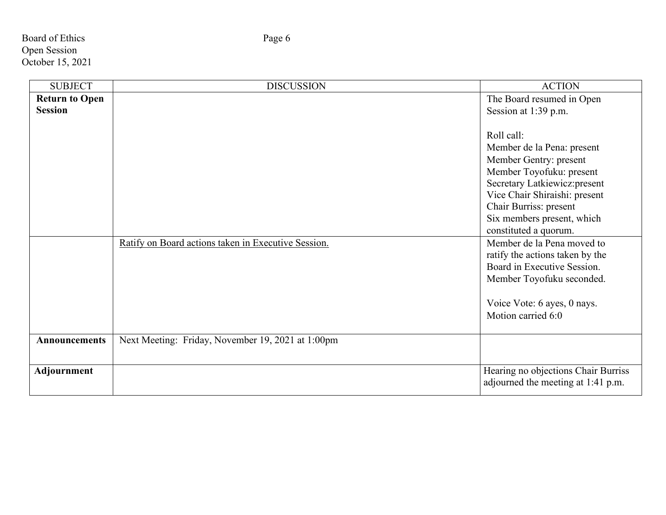Board of Ethics Page 6 Open Session October 15, 2021

| <b>SUBJECT</b>        | <b>DISCUSSION</b>                                   | <b>ACTION</b>                       |
|-----------------------|-----------------------------------------------------|-------------------------------------|
| <b>Return to Open</b> |                                                     | The Board resumed in Open           |
| <b>Session</b>        |                                                     | Session at 1:39 p.m.                |
|                       |                                                     |                                     |
|                       |                                                     | Roll call:                          |
|                       |                                                     | Member de la Pena: present          |
|                       |                                                     | Member Gentry: present              |
|                       |                                                     | Member Toyofuku: present            |
|                       |                                                     | Secretary Latkiewicz: present       |
|                       |                                                     | Vice Chair Shiraishi: present       |
|                       |                                                     | Chair Burriss: present              |
|                       |                                                     | Six members present, which          |
|                       |                                                     | constituted a quorum.               |
|                       | Ratify on Board actions taken in Executive Session. | Member de la Pena moved to          |
|                       |                                                     | ratify the actions taken by the     |
|                       |                                                     | Board in Executive Session.         |
|                       |                                                     | Member Toyofuku seconded.           |
|                       |                                                     | Voice Vote: 6 ayes, 0 nays.         |
|                       |                                                     | Motion carried 6:0                  |
|                       |                                                     |                                     |
| <b>Announcements</b>  | Next Meeting: Friday, November 19, 2021 at 1:00pm   |                                     |
|                       |                                                     |                                     |
| Adjournment           |                                                     | Hearing no objections Chair Burriss |
|                       |                                                     | adjourned the meeting at 1:41 p.m.  |